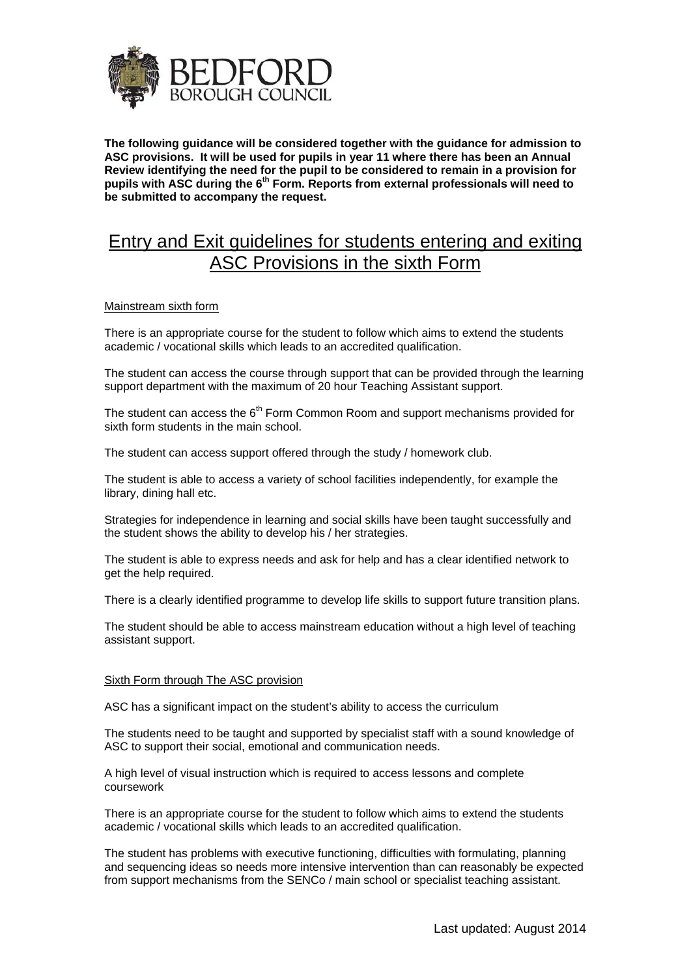

**The following guidance will be considered together with the guidance for admission to ASC provisions. It will be used for pupils in year 11 where there has been an Annual Review identifying the need for the pupil to be considered to remain in a provision for**  pupils with ASC during the 6<sup>th</sup> Form. Reports from external professionals will need to **be submitted to accompany the request.** 

## Entry and Exit guidelines for students entering and exiting ASC Provisions in the sixth Form

## Mainstream sixth form

There is an appropriate course for the student to follow which aims to extend the students academic / vocational skills which leads to an accredited qualification.

The student can access the course through support that can be provided through the learning support department with the maximum of 20 hour Teaching Assistant support.

The student can access the  $6<sup>th</sup>$  Form Common Room and support mechanisms provided for sixth form students in the main school.

The student can access support offered through the study / homework club.

The student is able to access a variety of school facilities independently, for example the library, dining hall etc.

Strategies for independence in learning and social skills have been taught successfully and the student shows the ability to develop his / her strategies.

The student is able to express needs and ask for help and has a clear identified network to get the help required.

There is a clearly identified programme to develop life skills to support future transition plans.

The student should be able to access mainstream education without a high level of teaching assistant support.

## Sixth Form through The ASC provision

ASC has a significant impact on the student's ability to access the curriculum

The students need to be taught and supported by specialist staff with a sound knowledge of ASC to support their social, emotional and communication needs.

A high level of visual instruction which is required to access lessons and complete coursework

There is an appropriate course for the student to follow which aims to extend the students academic / vocational skills which leads to an accredited qualification.

The student has problems with executive functioning, difficulties with formulating, planning and sequencing ideas so needs more intensive intervention than can reasonably be expected from support mechanisms from the SENCo / main school or specialist teaching assistant.